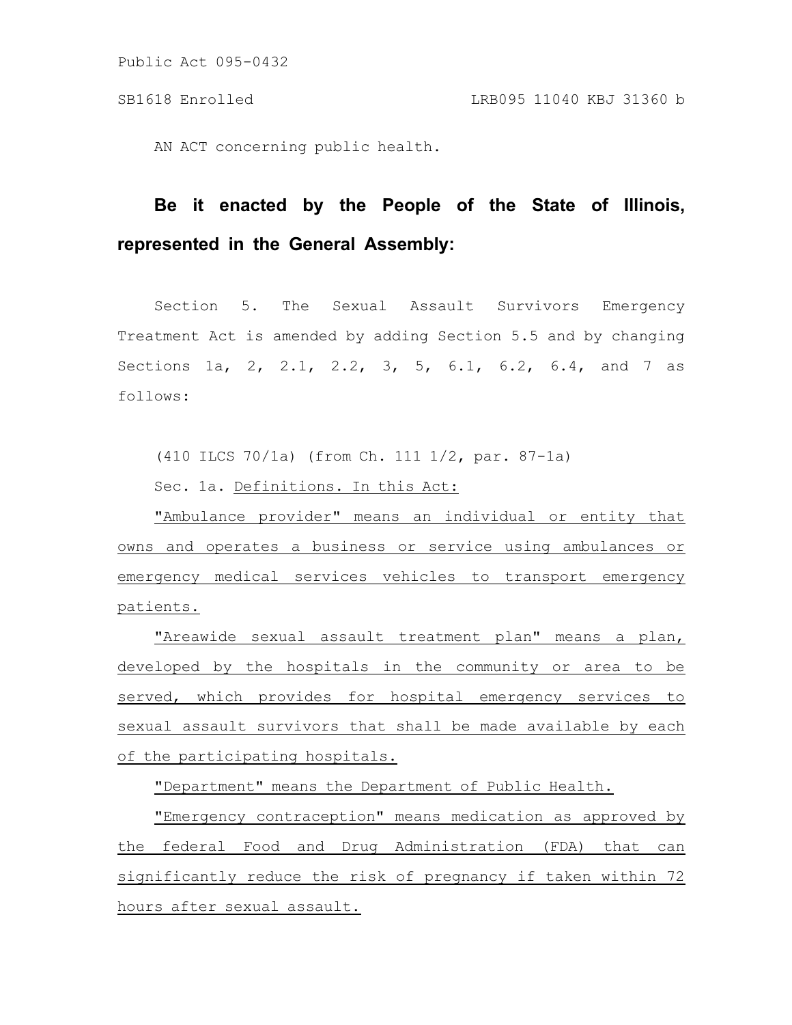AN ACT concerning public health.

# **Be it enacted by the People of the State of Illinois, represented in the General Assembly:**

Section 5. The Sexual Assault Survivors Emergency Treatment Act is amended by adding Section 5.5 and by changing Sections 1a, 2, 2.1, 2.2, 3, 5, 6.1, 6.2, 6.4, and 7 as follows:

(410 ILCS 70/1a) (from Ch. 111 1/2, par. 87-1a)

Sec. 1a. Definitions. In this Act:

"Ambulance provider" means an individual or entity that owns and operates a business or service using ambulances or emergency medical services vehicles to transport emergency patients.

"Areawide sexual assault treatment plan" means a plan, developed by the hospitals in the community or area to be served, which provides for hospital emergency services to sexual assault survivors that shall be made available by each of the participating hospitals.

"Department" means the Department of Public Health.

"Emergency contraception" means medication as approved by the federal Food and Drug Administration (FDA) that can significantly reduce the risk of pregnancy if taken within 72 hours after sexual assault.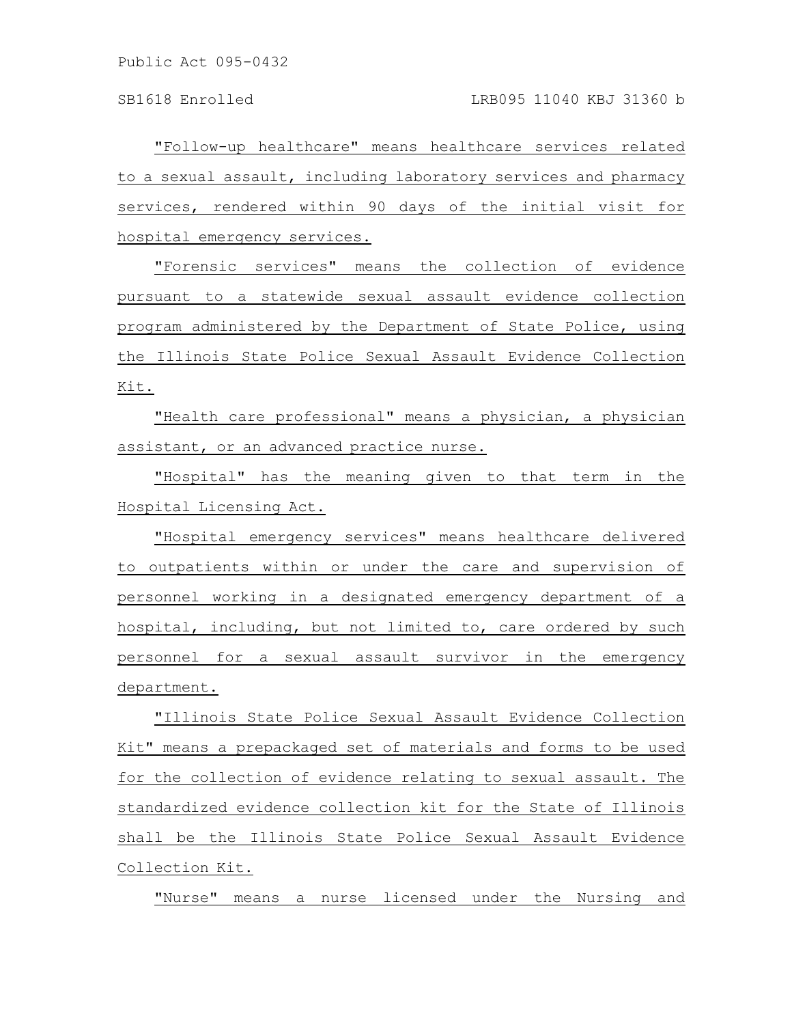"Follow-up healthcare" means healthcare services related to a sexual assault, including laboratory services and pharmacy services, rendered within 90 days of the initial visit for hospital emergency services.

"Forensic services" means the collection of evidence pursuant to a statewide sexual assault evidence collection program administered by the Department of State Police, using the Illinois State Police Sexual Assault Evidence Collection Kit.

"Health care professional" means a physician, a physician assistant, or an advanced practice nurse.

"Hospital" has the meaning given to that term in the Hospital Licensing Act.

"Hospital emergency services" means healthcare delivered to outpatients within or under the care and supervision of personnel working in a designated emergency department of a hospital, including, but not limited to, care ordered by such personnel for a sexual assault survivor in the emergency department.

"Illinois State Police Sexual Assault Evidence Collection Kit" means a prepackaged set of materials and forms to be used for the collection of evidence relating to sexual assault. The standardized evidence collection kit for the State of Illinois shall be the Illinois State Police Sexual Assault Evidence Collection Kit.

"Nurse" means a nurse licensed under the Nursing and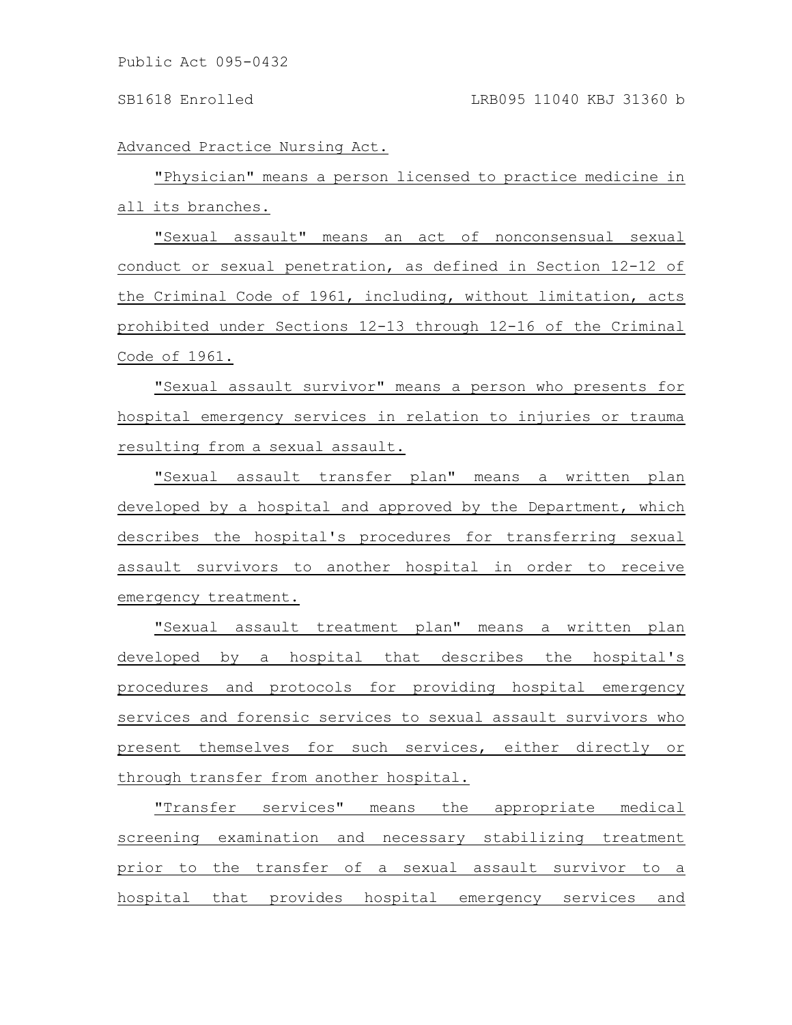Advanced Practice Nursing Act.

"Physician" means a person licensed to practice medicine in all its branches.

"Sexual assault" means an act of nonconsensual sexual conduct or sexual penetration, as defined in Section 12-12 of the Criminal Code of 1961, including, without limitation, acts prohibited under Sections 12-13 through 12-16 of the Criminal Code of 1961.

"Sexual assault survivor" means a person who presents for hospital emergency services in relation to injuries or trauma resulting from a sexual assault.

"Sexual assault transfer plan" means a written plan developed by a hospital and approved by the Department, which describes the hospital's procedures for transferring sexual assault survivors to another hospital in order to receive emergency treatment.

"Sexual assault treatment plan" means a written plan developed by a hospital that describes the hospital's procedures and protocols for providing hospital emergency services and forensic services to sexual assault survivors who present themselves for such services, either directly or through transfer from another hospital.

"Transfer services" means the appropriate medical screening examination and necessary stabilizing treatment prior to the transfer of a sexual assault survivor to a hospital that provides hospital emergency services and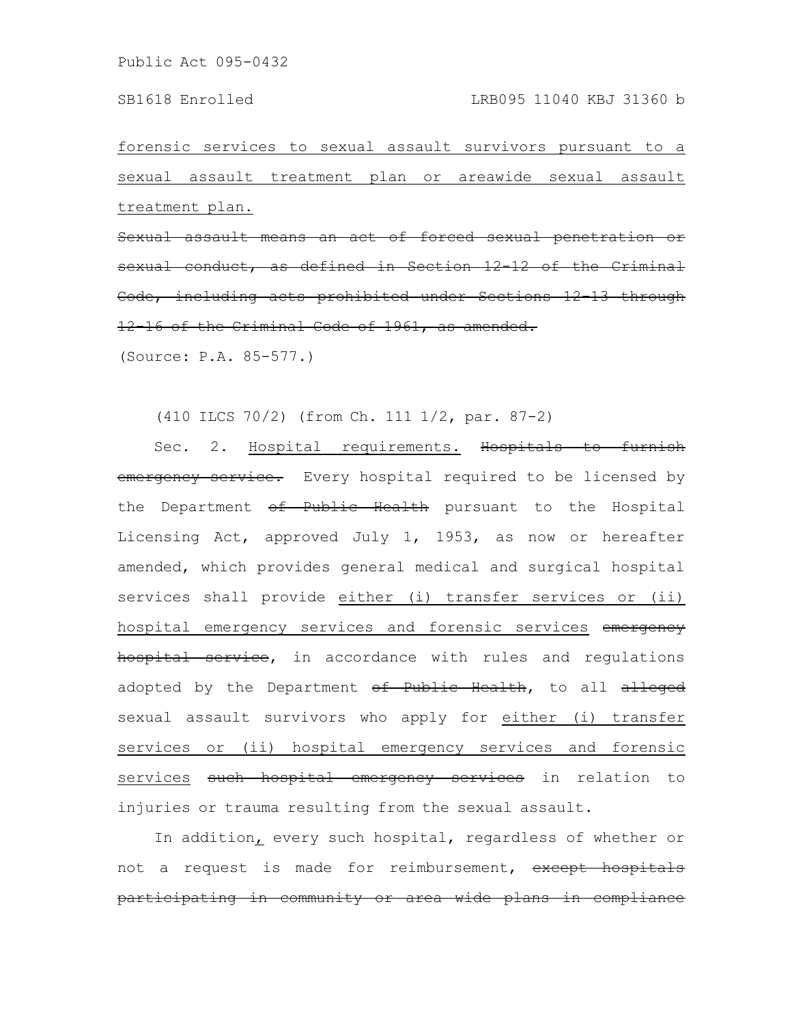forensic services to sexual assault survivors pursuant to a sexual assault treatment plan or areawide sexual assault treatment plan.

Sexual assault means an act of forced sexual sexual conduct, as defined in Section 12 12 of Code, including acts prohibited under Sections 12-13 through 12-16 of the Criminal Code of 1961, as amended.

(Source: P.A. 85-577.)

(410 ILCS 70/2) (from Ch. 111 1/2, par. 87-2)

Sec. 2. Hospital requirements. Hospitals to furnish emergency service. Every hospital required to be licensed by the Department of Public Health pursuant to the Hospital Licensing Act, approved July 1, 1953, as now or hereafter amended, which provides general medical and surgical hospital services shall provide either (i) transfer services or (ii) hospital emergency services and forensic services emergency hospital service, in accordance with rules and regulations adopted by the Department of Public Health, to all alleged sexual assault survivors who apply for either (i) transfer services or (ii) hospital emergency services and forensic services such hospital emergency services in relation to injuries or trauma resulting from the sexual assault.

In addition, every such hospital, regardless of whether or not a request is made for reimbursement, except hospitals participating in community or area wide plans in compliance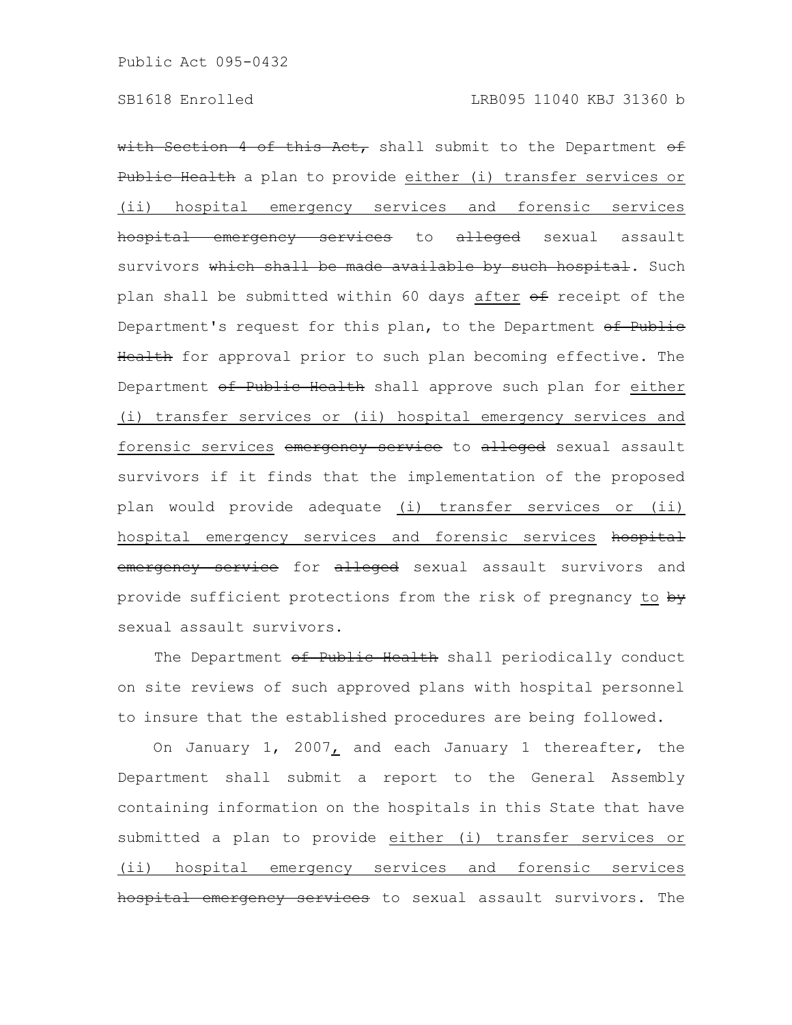with Section 4 of this Act, shall submit to the Department  $\theta f$ Public Health a plan to provide either (i) transfer services or (ii) hospital emergency services and forensic services hospital emergency services to alleged sexual assault survivors which shall be made available by such hospital. Such plan shall be submitted within 60 days after of receipt of the Department's request for this plan, to the Department of Public Health for approval prior to such plan becoming effective. The Department of Public Health shall approve such plan for either (i) transfer services or (ii) hospital emergency services and forensic services emergency service to alleged sexual assault survivors if it finds that the implementation of the proposed plan would provide adequate (i) transfer services or (ii) hospital emergency services and forensic services hospital emergency service for alleged sexual assault survivors and provide sufficient protections from the risk of pregnancy to by sexual assault survivors.

The Department of Public Health shall periodically conduct on site reviews of such approved plans with hospital personnel to insure that the established procedures are being followed.

On January 1, 2007, and each January 1 thereafter, the Department shall submit a report to the General Assembly containing information on the hospitals in this State that have submitted a plan to provide either (i) transfer services or (ii) hospital emergency services and forensic services hospital emergency services to sexual assault survivors. The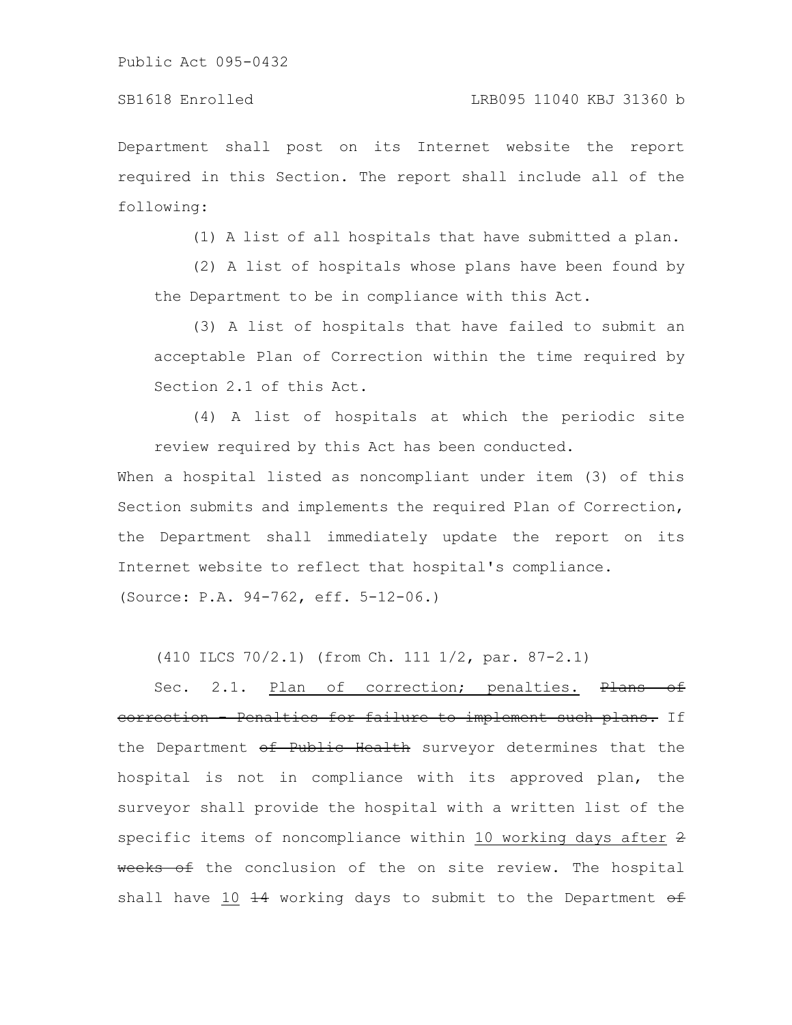Department shall post on its Internet website the report required in this Section. The report shall include all of the following:

(1) A list of all hospitals that have submitted a plan.

(2) A list of hospitals whose plans have been found by the Department to be in compliance with this Act.

(3) A list of hospitals that have failed to submit an acceptable Plan of Correction within the time required by Section 2.1 of this Act.

(4) A list of hospitals at which the periodic site review required by this Act has been conducted.

When a hospital listed as noncompliant under item (3) of this Section submits and implements the required Plan of Correction, the Department shall immediately update the report on its Internet website to reflect that hospital's compliance.

(Source: P.A. 94-762, eff. 5-12-06.)

(410 ILCS 70/2.1) (from Ch. 111 1/2, par. 87-2.1)

Sec. 2.1. Plan of correction; penalties. Plans of correction - Penalties for failure to implement such plans. If the Department of Public Health surveyor determines that the hospital is not in compliance with its approved plan, the surveyor shall provide the hospital with a written list of the specific items of noncompliance within 10 working days after 2 weeks of the conclusion of the on site review. The hospital shall have 10  $\frac{14}{14}$  working days to submit to the Department  $\theta$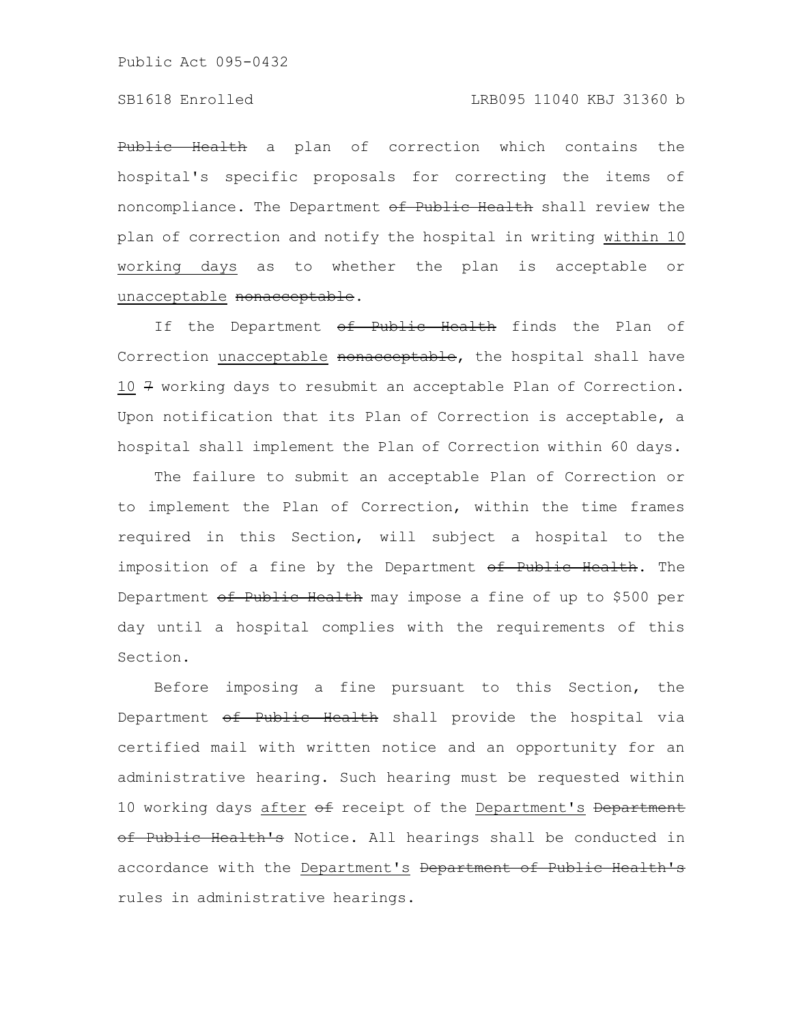### SB1618 Enrolled LRB095 11040 KBJ 31360 b

Public Health a plan of correction which contains the hospital's specific proposals for correcting the items of noncompliance. The Department of Public Health shall review the plan of correction and notify the hospital in writing within 10 working days as to whether the plan is acceptable or unacceptable nonacceptable.

If the Department of Public Health finds the Plan of Correction unacceptable nonacceptable, the hospital shall have 10 7 working days to resubmit an acceptable Plan of Correction. Upon notification that its Plan of Correction is acceptable, a hospital shall implement the Plan of Correction within 60 days.

The failure to submit an acceptable Plan of Correction or to implement the Plan of Correction, within the time frames required in this Section, will subject a hospital to the imposition of a fine by the Department of Public Health. The Department of Public Health may impose a fine of up to \$500 per day until a hospital complies with the requirements of this Section.

Before imposing a fine pursuant to this Section, the Department of Public Health shall provide the hospital via certified mail with written notice and an opportunity for an administrative hearing. Such hearing must be requested within 10 working days after of receipt of the Department's Department of Public Health's Notice. All hearings shall be conducted in accordance with the Department's Department of Public Health's rules in administrative hearings.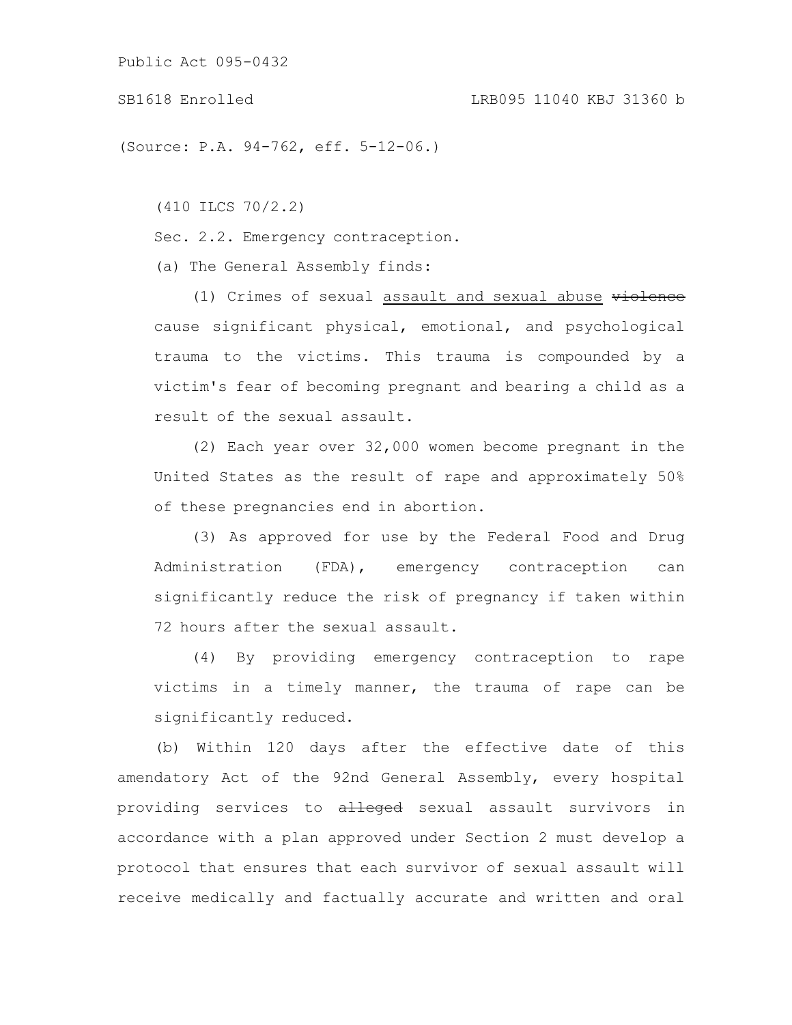### SB1618 Enrolled LRB095 11040 KBJ 31360 b

(Source: P.A. 94-762, eff. 5-12-06.)

(410 ILCS 70/2.2)

Sec. 2.2. Emergency contraception.

(a) The General Assembly finds:

(1) Crimes of sexual assault and sexual abuse violence cause significant physical, emotional, and psychological trauma to the victims. This trauma is compounded by a victim's fear of becoming pregnant and bearing a child as a result of the sexual assault.

(2) Each year over 32,000 women become pregnant in the United States as the result of rape and approximately 50% of these pregnancies end in abortion.

(3) As approved for use by the Federal Food and Drug Administration (FDA), emergency contraception can significantly reduce the risk of pregnancy if taken within 72 hours after the sexual assault.

(4) By providing emergency contraception to rape victims in a timely manner, the trauma of rape can be significantly reduced.

(b) Within 120 days after the effective date of this amendatory Act of the 92nd General Assembly, every hospital providing services to alleged sexual assault survivors in accordance with a plan approved under Section 2 must develop a protocol that ensures that each survivor of sexual assault will receive medically and factually accurate and written and oral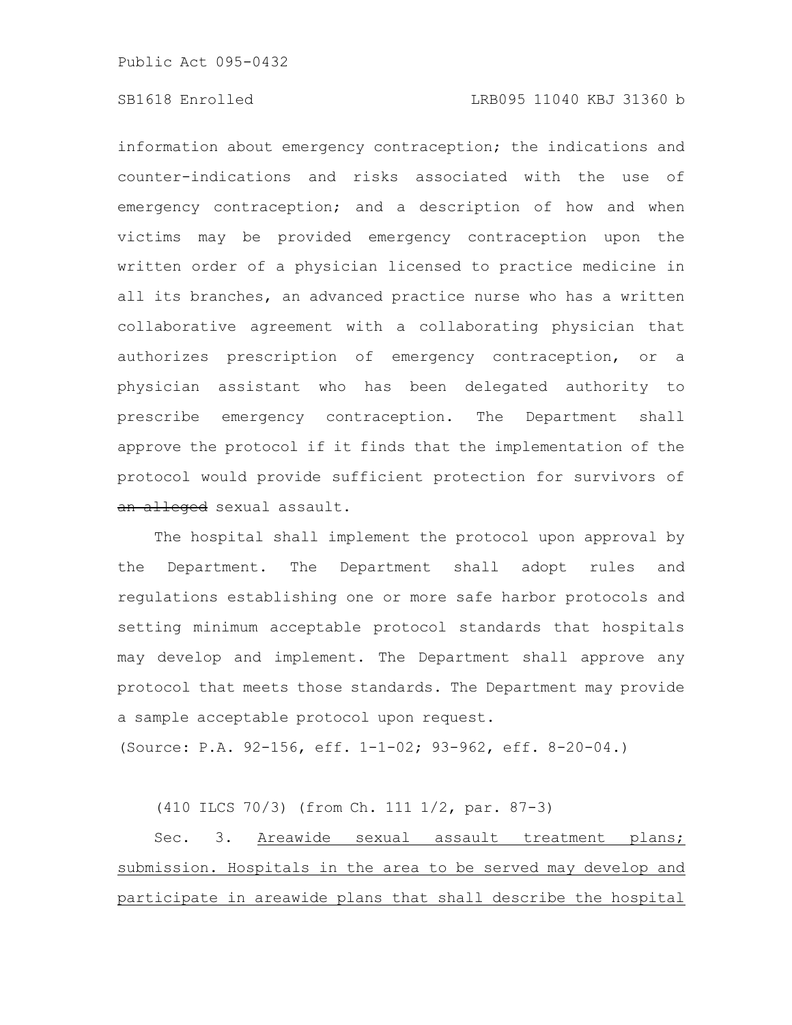## SB1618 Enrolled LRB095 11040 KBJ 31360 b

information about emergency contraception; the indications and counter-indications and risks associated with the use of emergency contraception; and a description of how and when victims may be provided emergency contraception upon the written order of a physician licensed to practice medicine in all its branches, an advanced practice nurse who has a written collaborative agreement with a collaborating physician that authorizes prescription of emergency contraception, or a physician assistant who has been delegated authority to prescribe emergency contraception. The Department shall approve the protocol if it finds that the implementation of the protocol would provide sufficient protection for survivors of an alleged sexual assault.

The hospital shall implement the protocol upon approval by the Department. The Department shall adopt rules and regulations establishing one or more safe harbor protocols and setting minimum acceptable protocol standards that hospitals may develop and implement. The Department shall approve any protocol that meets those standards. The Department may provide a sample acceptable protocol upon request.

(Source: P.A. 92-156, eff. 1-1-02; 93-962, eff. 8-20-04.)

(410 ILCS 70/3) (from Ch. 111 1/2, par. 87-3)

Sec. 3. Areawide sexual assault treatment plans; submission. Hospitals in the area to be served may develop and participate in areawide plans that shall describe the hospital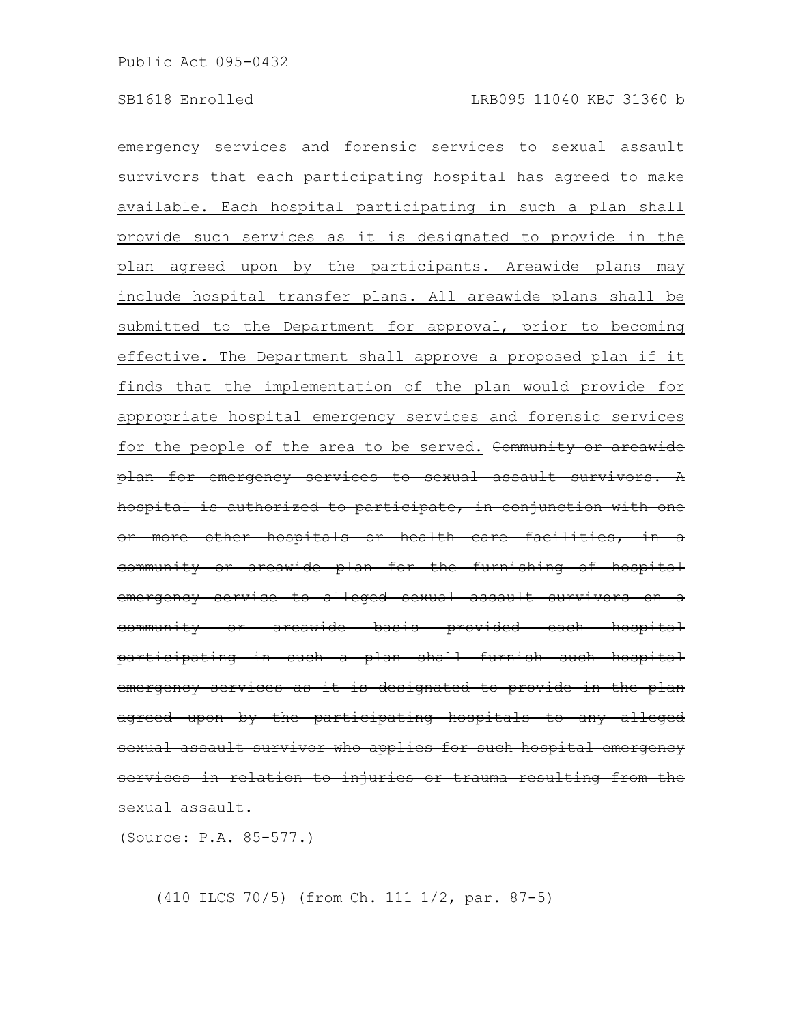emergency services and forensic services to sexual assault survivors that each participating hospital has agreed to make available. Each hospital participating in such a plan shall provide such services as it is designated to provide in the plan agreed upon by the participants. Areawide plans may include hospital transfer plans. All areawide plans shall be submitted to the Department for approval, prior to becoming effective. The Department shall approve a proposed plan if it finds that the implementation of the plan would provide for appropriate hospital emergency services and forensic services for the people of the area to be served. Community or areawide plan for emergency services to sexual assault survivors. hospital is authorized to participate, in conjunction with more other hospitals or health care facilities, community or areawide plan for the furnishing of hospital emergency service to alleged sexual assault survivors community or areawide basis provided each hospital participating in such a plan shall furnish such hospital emergency services as it is designated to provide in the plan agreed upon by the participating hospitals to any alleged sexual assault survivor who applies for such hospital services in relation to injuries or trauma resulting from the sexual assault.

(Source: P.A. 85-577.)

(410 ILCS 70/5) (from Ch. 111 1/2, par. 87-5)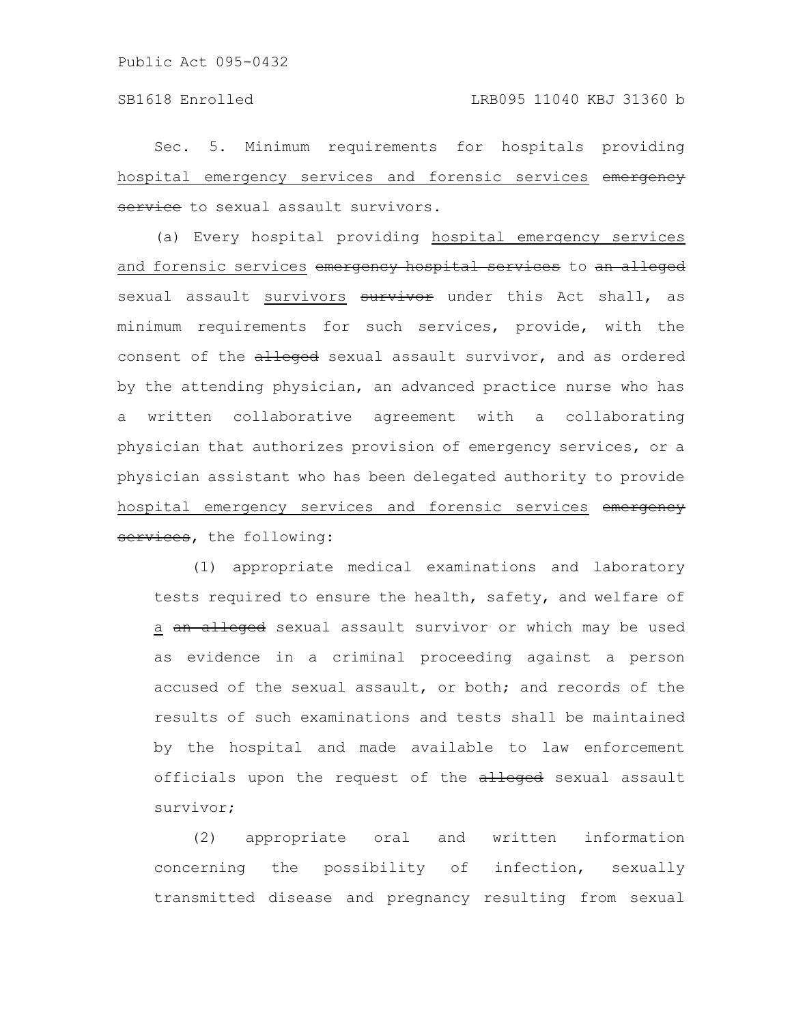Sec. 5. Minimum requirements for hospitals providing hospital emergency services and forensic services emergency service to sexual assault survivors.

(a) Every hospital providing hospital emergency services and forensic services emergency hospital services to an alleged sexual assault survivors survivor under this Act shall, as minimum requirements for such services, provide, with the consent of the alleged sexual assault survivor, and as ordered by the attending physician, an advanced practice nurse who has a written collaborative agreement with a collaborating physician that authorizes provision of emergency services, or a physician assistant who has been delegated authority to provide hospital emergency services and forensic services emergency services, the following:

(1) appropriate medical examinations and laboratory tests required to ensure the health, safety, and welfare of a an alleged sexual assault survivor or which may be used as evidence in a criminal proceeding against a person accused of the sexual assault, or both; and records of the results of such examinations and tests shall be maintained by the hospital and made available to law enforcement officials upon the request of the alleged sexual assault survivor;

(2) appropriate oral and written information concerning the possibility of infection, sexually transmitted disease and pregnancy resulting from sexual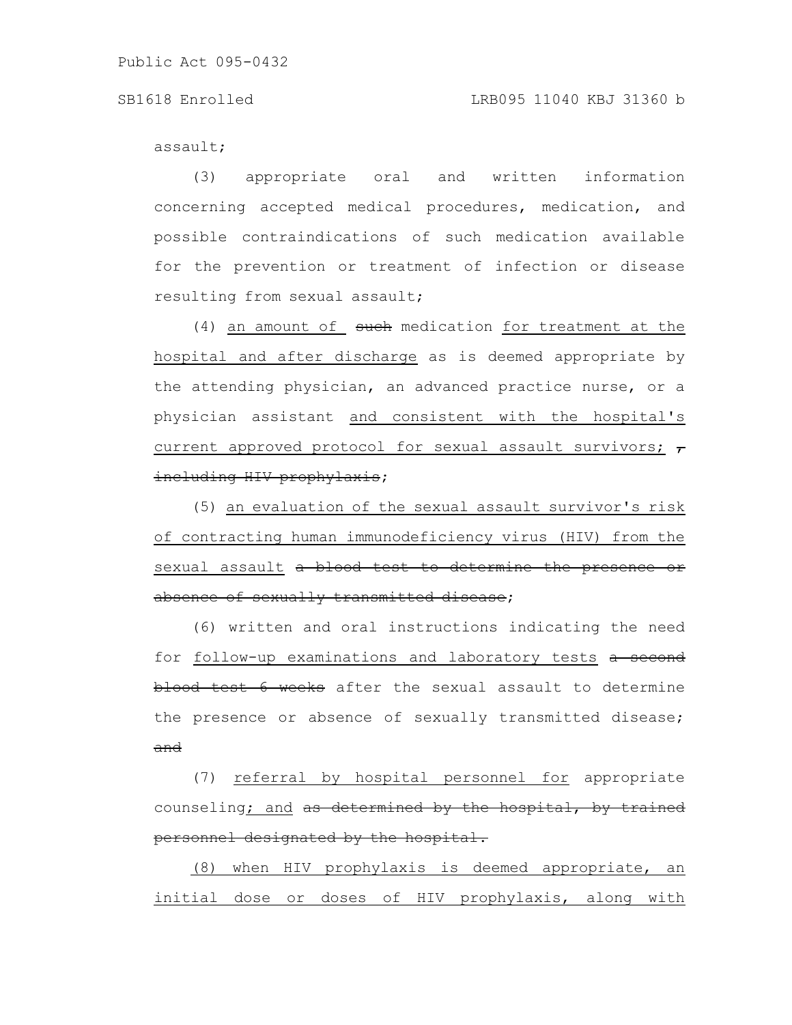### SB1618 Enrolled LRB095 11040 KBJ 31360 b

assault;

(3) appropriate oral and written information concerning accepted medical procedures, medication, and possible contraindications of such medication available for the prevention or treatment of infection or disease resulting from sexual assault;

 $(4)$  an amount of such medication for treatment at the hospital and after discharge as is deemed appropriate by the attending physician, an advanced practice nurse, or a physician assistant and consistent with the hospital's current approved protocol for sexual assault survivors;  $\tau$ including HIV prophylaxis;

(5) an evaluation of the sexual assault survivor's risk of contracting human immunodeficiency virus (HIV) from the sexual assault a blood test to determine the presence or absence of sexually transmitted disease;

(6) written and oral instructions indicating the need for follow-up examinations and laboratory tests a second blood test 6 weeks after the sexual assault to determine the presence or absence of sexually transmitted disease; and

(7) referral by hospital personnel for appropriate counseling; and as determined by the hospital, by trained personnel designated by the hospital.

(8) when HIV prophylaxis is deemed appropriate, an initial dose or doses of HIV prophylaxis, along with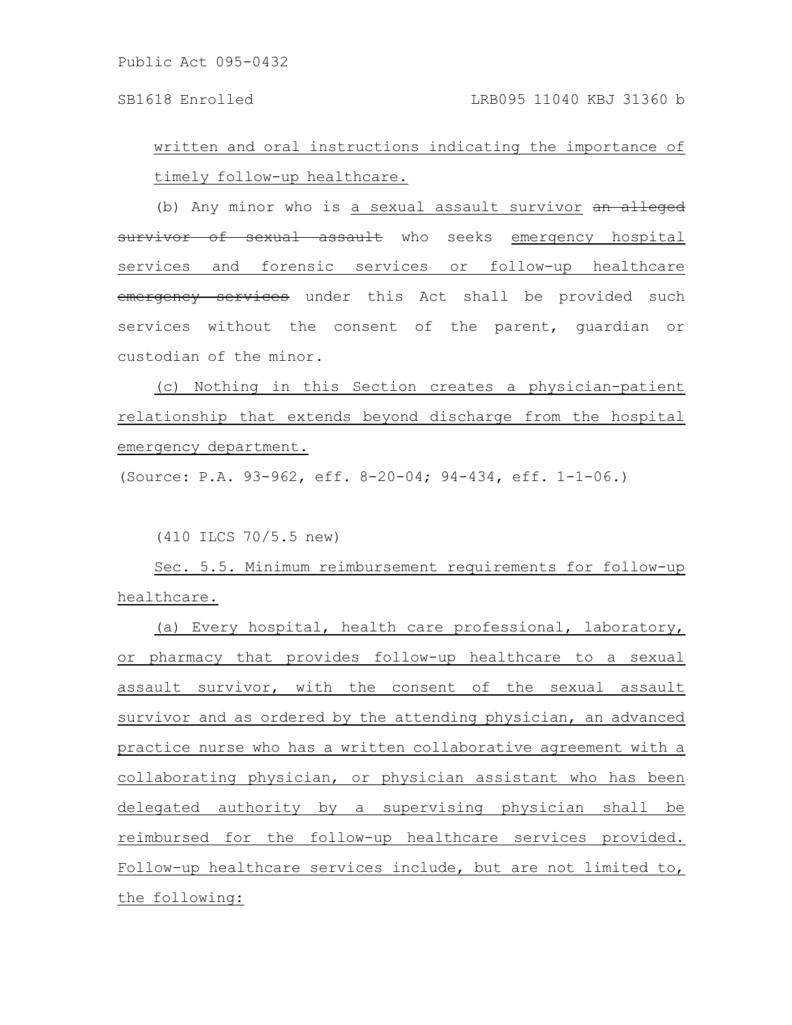written and oral instructions indicating the importance of timely follow-up healthcare.

(b) Any minor who is a sexual assault survivor an alleged survivor of sexual assault who seeks emergency hospital services and forensic services or follow-up healthcare emergency services under this Act shall be provided such services without the consent of the parent, guardian or custodian of the minor.

(c) Nothing in this Section creates a physician-patient relationship that extends beyond discharge from the hospital emergency department.

(Source: P.A. 93-962, eff. 8-20-04; 94-434, eff. 1-1-06.)

(410 ILCS 70/5.5 new)

Sec. 5.5. Minimum reimbursement requirements for follow-up healthcare.

(a) Every hospital, health care professional, laboratory, or pharmacy that provides follow-up healthcare to a sexual assault survivor, with the consent of the sexual assault survivor and as ordered by the attending physician, an advanced practice nurse who has a written collaborative agreement with a collaborating physician, or physician assistant who has been delegated authority by a supervising physician shall be reimbursed for the follow-up healthcare services provided. Follow-up healthcare services include, but are not limited to, the following: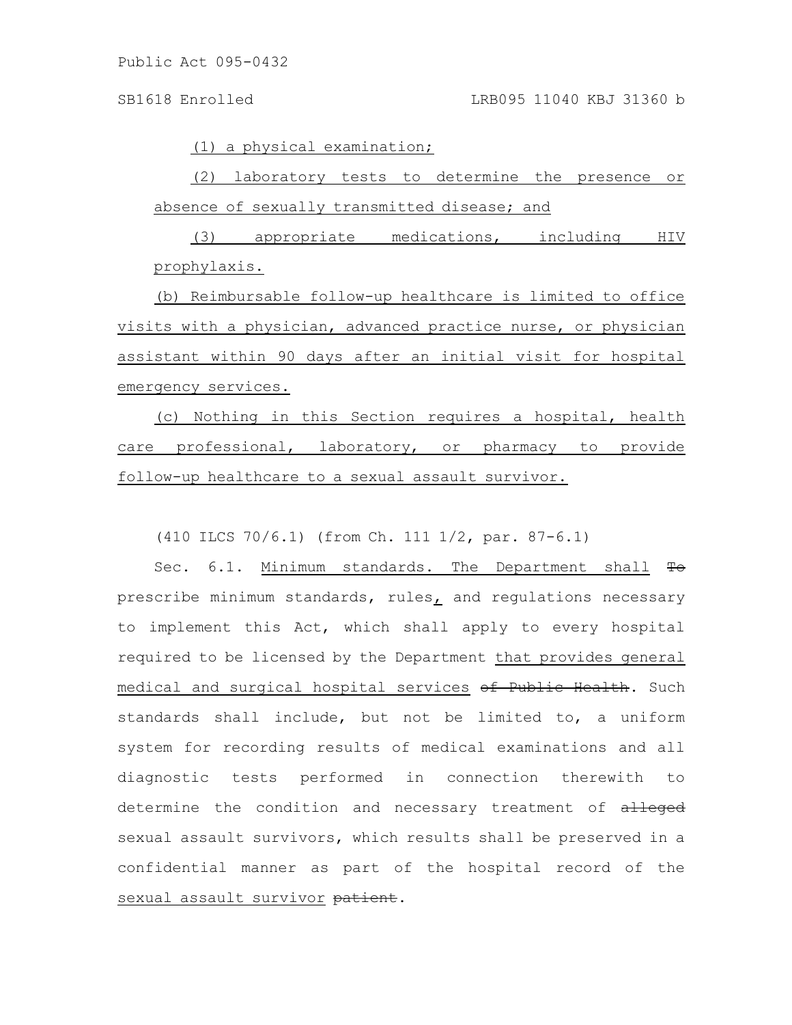(1) a physical examination;

(2) laboratory tests to determine the presence or absence of sexually transmitted disease; and

(3) appropriate medications, including HIV prophylaxis.

(b) Reimbursable follow-up healthcare is limited to office visits with a physician, advanced practice nurse, or physician assistant within 90 days after an initial visit for hospital emergency services.

(c) Nothing in this Section requires a hospital, health care professional, laboratory, or pharmacy to provide follow-up healthcare to a sexual assault survivor.

(410 ILCS 70/6.1) (from Ch. 111 1/2, par. 87-6.1)

Sec. 6.1. Minimum standards. The Department shall To prescribe minimum standards, rules, and regulations necessary to implement this Act, which shall apply to every hospital required to be licensed by the Department that provides general medical and surgical hospital services of Public Health. Such standards shall include, but not be limited to, a uniform system for recording results of medical examinations and all diagnostic tests performed in connection therewith to determine the condition and necessary treatment of alleged sexual assault survivors, which results shall be preserved in a confidential manner as part of the hospital record of the sexual assault survivor patient.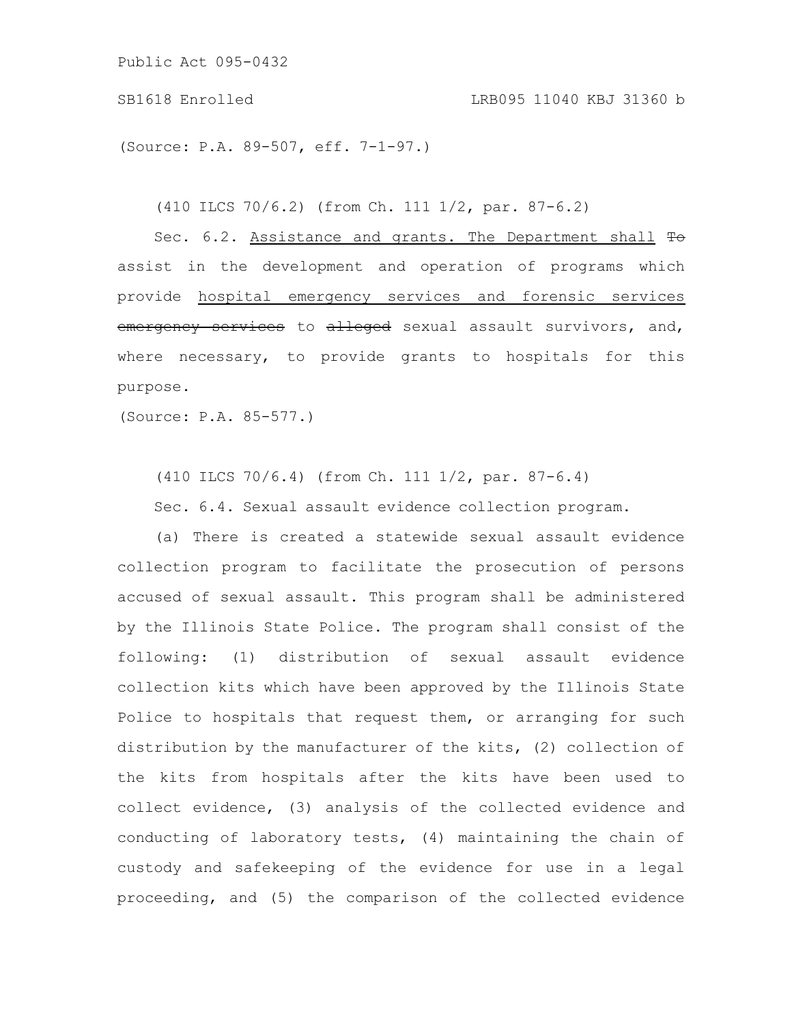(Source: P.A. 89-507, eff. 7-1-97.)

(410 ILCS 70/6.2) (from Ch. 111 1/2, par. 87-6.2)

Sec. 6.2. Assistance and grants. The Department shall To assist in the development and operation of programs which provide hospital emergency services and forensic services emergency services to alleged sexual assault survivors, and, where necessary, to provide grants to hospitals for this purpose.

(Source: P.A. 85-577.)

(410 ILCS 70/6.4) (from Ch. 111 1/2, par. 87-6.4)

Sec. 6.4. Sexual assault evidence collection program.

(a) There is created a statewide sexual assault evidence collection program to facilitate the prosecution of persons accused of sexual assault. This program shall be administered by the Illinois State Police. The program shall consist of the following: (1) distribution of sexual assault evidence collection kits which have been approved by the Illinois State Police to hospitals that request them, or arranging for such distribution by the manufacturer of the kits, (2) collection of the kits from hospitals after the kits have been used to collect evidence, (3) analysis of the collected evidence and conducting of laboratory tests, (4) maintaining the chain of custody and safekeeping of the evidence for use in a legal proceeding, and (5) the comparison of the collected evidence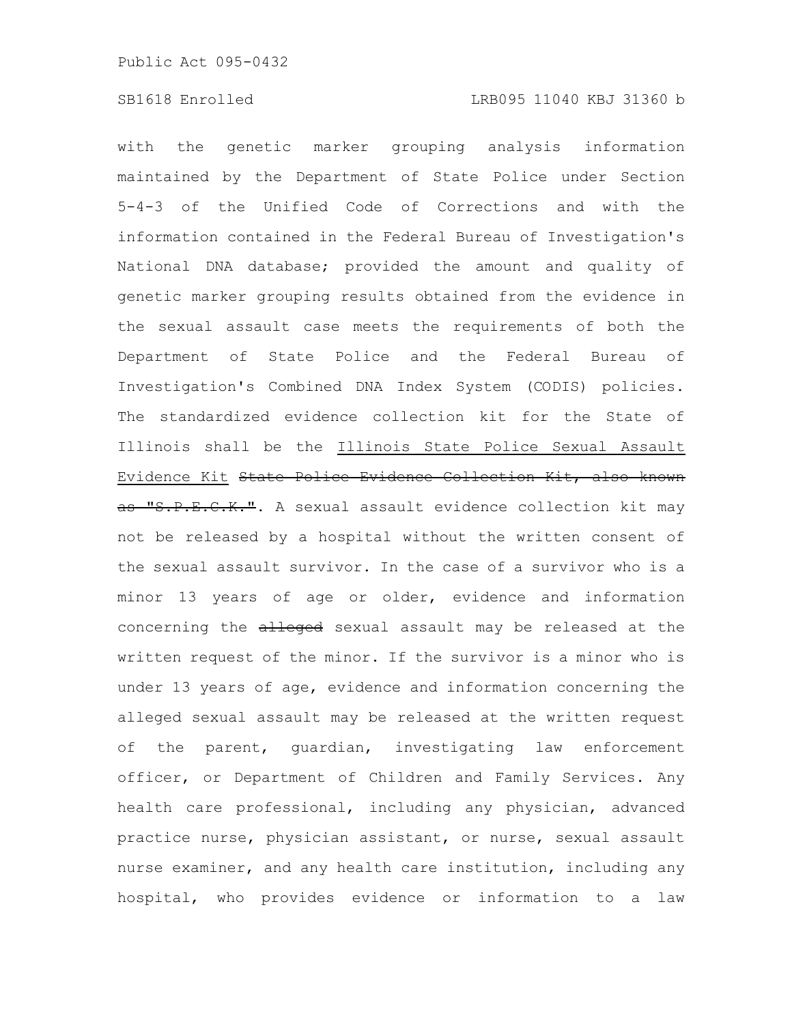with the genetic marker grouping analysis information maintained by the Department of State Police under Section 5-4-3 of the Unified Code of Corrections and with the information contained in the Federal Bureau of Investigation's National DNA database; provided the amount and quality of genetic marker grouping results obtained from the evidence in the sexual assault case meets the requirements of both the Department of State Police and the Federal Bureau of Investigation's Combined DNA Index System (CODIS) policies. The standardized evidence collection kit for the State of Illinois shall be the Illinois State Police Sexual Assault Evidence Kit State Police Evidence Collection Kit, also known as "S.P.E.C.K.". A sexual assault evidence collection kit may not be released by a hospital without the written consent of the sexual assault survivor. In the case of a survivor who is a minor 13 years of age or older, evidence and information concerning the alleged sexual assault may be released at the written request of the minor. If the survivor is a minor who is under 13 years of age, evidence and information concerning the alleged sexual assault may be released at the written request of the parent, guardian, investigating law enforcement officer, or Department of Children and Family Services. Any health care professional, including any physician, advanced practice nurse, physician assistant, or nurse, sexual assault nurse examiner, and any health care institution, including any hospital, who provides evidence or information to a law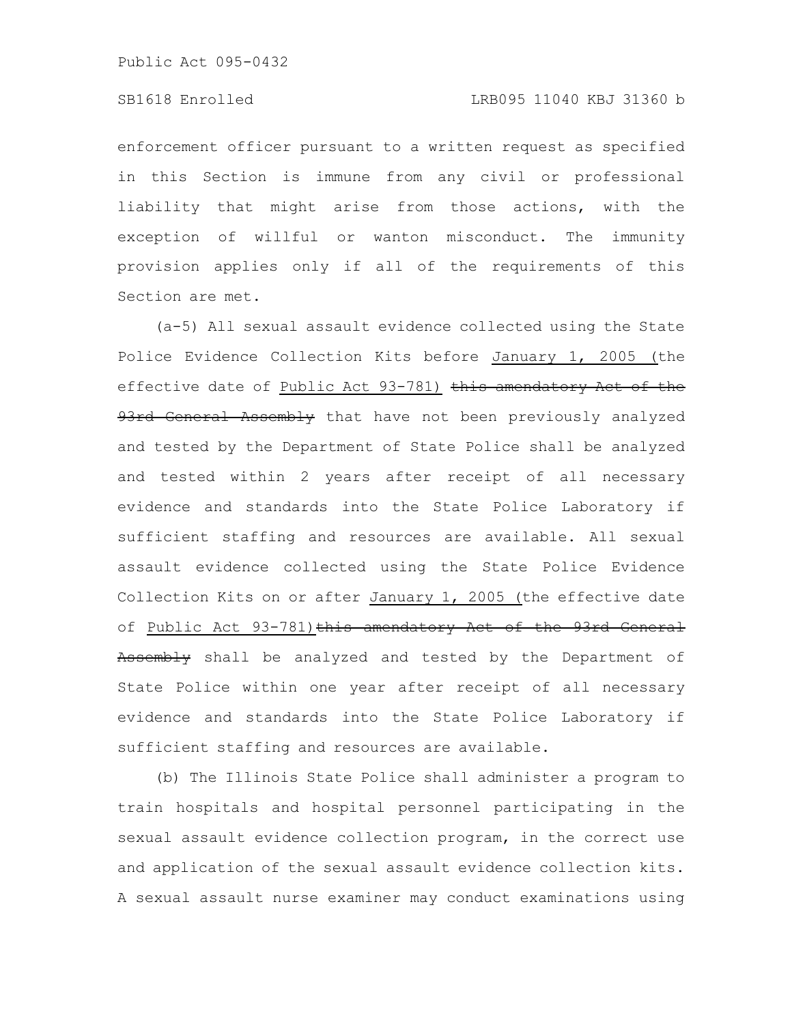enforcement officer pursuant to a written request as specified in this Section is immune from any civil or professional liability that might arise from those actions, with the exception of willful or wanton misconduct. The immunity provision applies only if all of the requirements of this Section are met.

(a-5) All sexual assault evidence collected using the State Police Evidence Collection Kits before January 1, 2005 (the effective date of Public Act 93-781) this amendatory Act of the 93rd General Assembly that have not been previously analyzed and tested by the Department of State Police shall be analyzed and tested within 2 years after receipt of all necessary evidence and standards into the State Police Laboratory if sufficient staffing and resources are available. All sexual assault evidence collected using the State Police Evidence Collection Kits on or after January 1, 2005 (the effective date of Public Act 93-781) this amendatory Act of the 93rd General Assembly shall be analyzed and tested by the Department of State Police within one year after receipt of all necessary evidence and standards into the State Police Laboratory if sufficient staffing and resources are available.

(b) The Illinois State Police shall administer a program to train hospitals and hospital personnel participating in the sexual assault evidence collection program, in the correct use and application of the sexual assault evidence collection kits. A sexual assault nurse examiner may conduct examinations using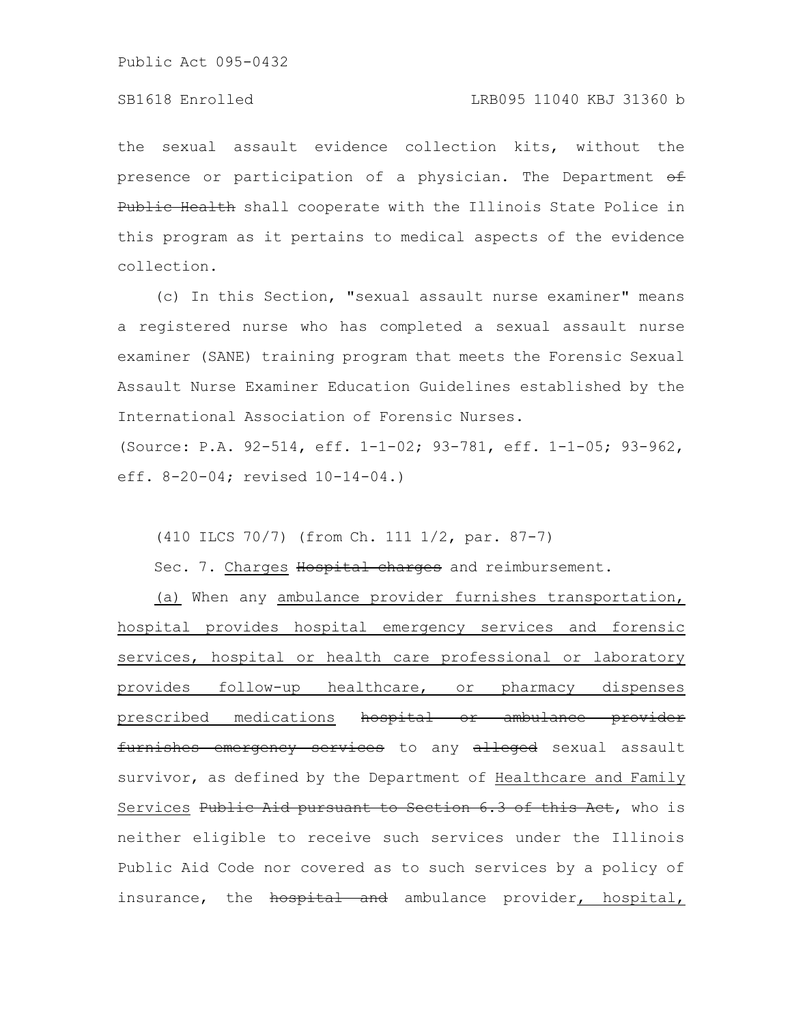the sexual assault evidence collection kits, without the presence or participation of a physician. The Department  $\theta f$ Public Health shall cooperate with the Illinois State Police in this program as it pertains to medical aspects of the evidence collection.

(c) In this Section, "sexual assault nurse examiner" means a registered nurse who has completed a sexual assault nurse examiner (SANE) training program that meets the Forensic Sexual Assault Nurse Examiner Education Guidelines established by the International Association of Forensic Nurses.

(Source: P.A. 92-514, eff. 1-1-02; 93-781, eff. 1-1-05; 93-962, eff. 8-20-04; revised 10-14-04.)

(410 ILCS 70/7) (from Ch. 111 1/2, par. 87-7)

Sec. 7. Charges Hospital charges and reimbursement.

(a) When any ambulance provider furnishes transportation, hospital provides hospital emergency services and forensic services, hospital or health care professional or laboratory provides follow-up healthcare, or pharmacy dispenses prescribed medications hospital or ambulance provider furnishes emergency services to any alleged sexual assault survivor, as defined by the Department of Healthcare and Family Services Public Aid pursuant to Section 6.3 of this Aet, who is neither eligible to receive such services under the Illinois Public Aid Code nor covered as to such services by a policy of insurance, the hospital and ambulance provider, hospital,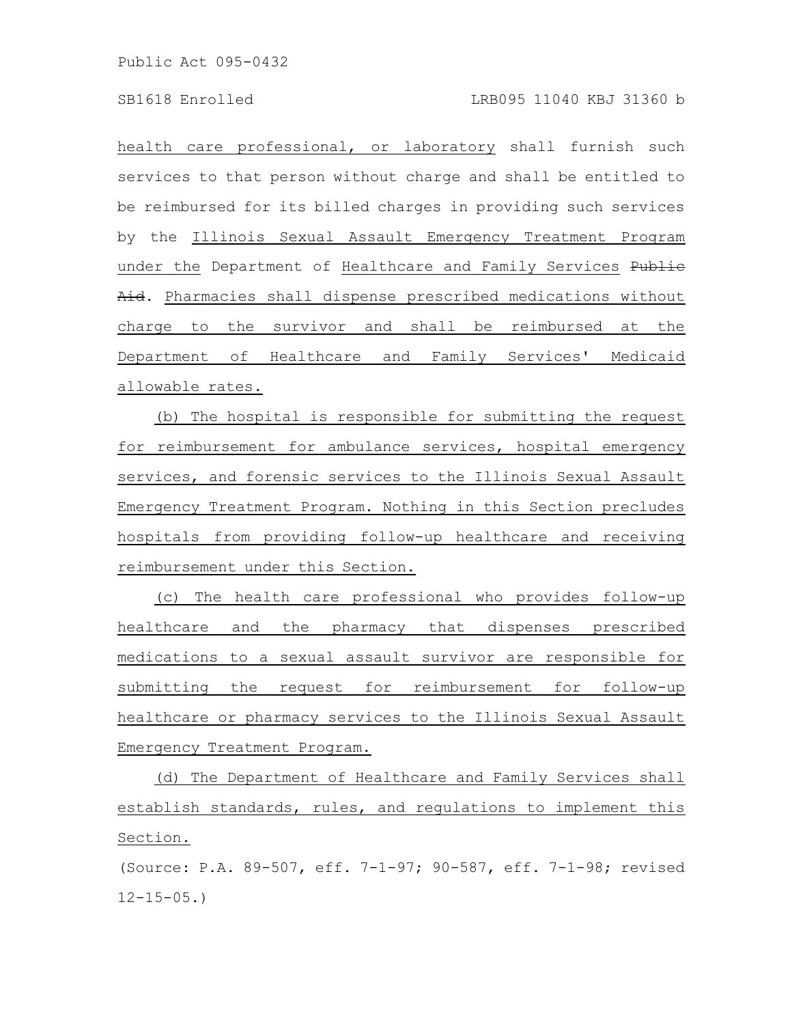health care professional, or laboratory shall furnish such services to that person without charge and shall be entitled to be reimbursed for its billed charges in providing such services by the Illinois Sexual Assault Emergency Treatment Program under the Department of Healthcare and Family Services Publie Aid. Pharmacies shall dispense prescribed medications without charge to the survivor and shall be reimbursed at the Department of Healthcare and Family Services' Medicaid allowable rates.

(b) The hospital is responsible for submitting the request for reimbursement for ambulance services, hospital emergency services, and forensic services to the Illinois Sexual Assault Emergency Treatment Program. Nothing in this Section precludes hospitals from providing follow-up healthcare and receiving reimbursement under this Section.

(c) The health care professional who provides follow-up healthcare and the pharmacy that dispenses prescribed medications to a sexual assault survivor are responsible for submitting the request for reimbursement for follow-up healthcare or pharmacy services to the Illinois Sexual Assault Emergency Treatment Program.

(d) The Department of Healthcare and Family Services shall establish standards, rules, and regulations to implement this Section.

(Source: P.A. 89-507, eff. 7-1-97; 90-587, eff. 7-1-98; revised  $12 - 15 - 05.$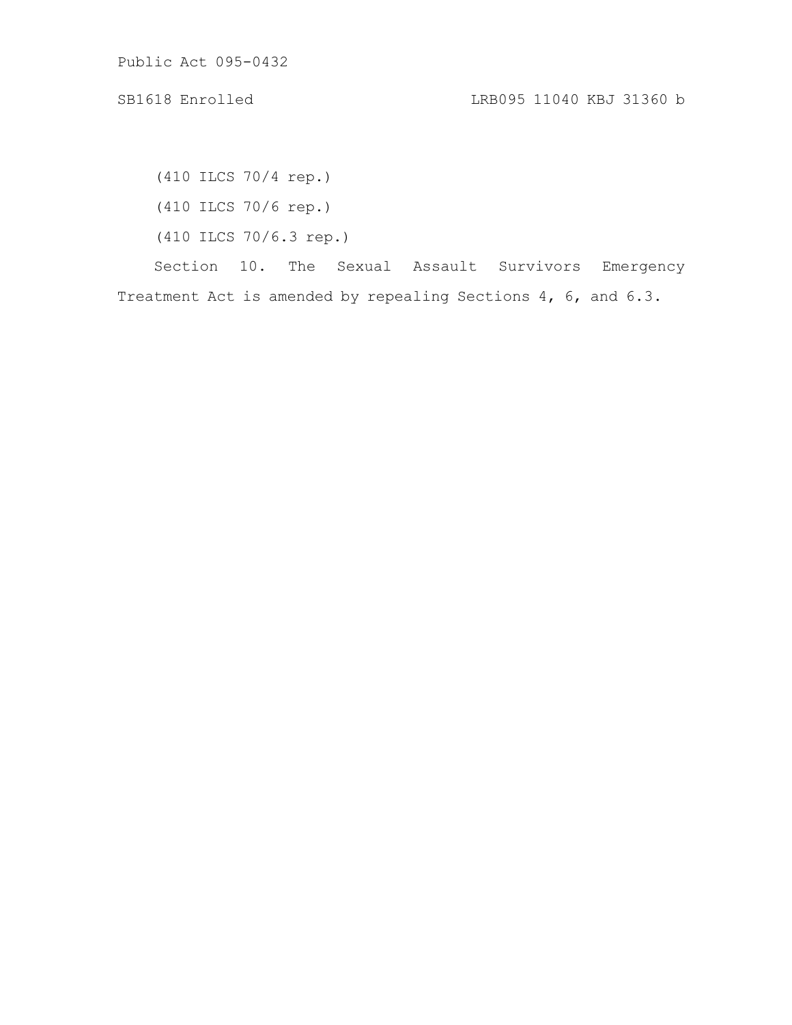(410 ILCS 70/4 rep.) (410 ILCS 70/6 rep.) (410 ILCS 70/6.3 rep.)

Section 10. The Sexual Assault Survivors Emergency

Treatment Act is amended by repealing Sections 4, 6, and 6.3.